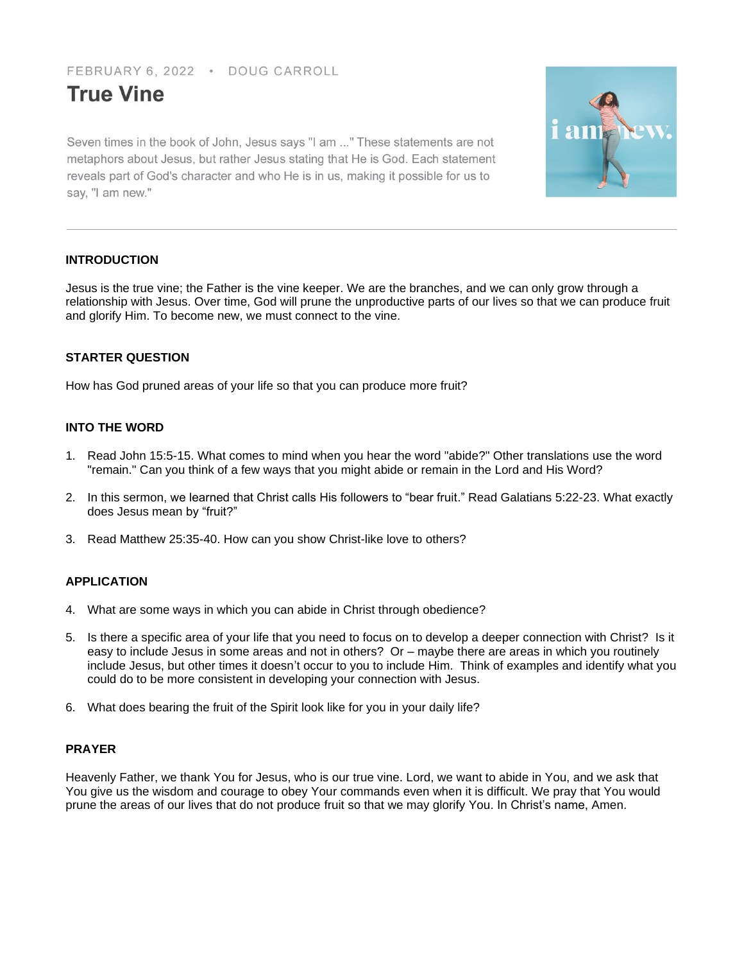FEBRUARY 6, 2022 · DOUG CARROLL

# **True Vine**

Seven times in the book of John, Jesus says "I am ..." These statements are not metaphors about Jesus, but rather Jesus stating that He is God. Each statement reveals part of God's character and who He is in us, making it possible for us to say, "I am new."



# **INTRODUCTION**

Jesus is the true vine; the Father is the vine keeper. We are the branches, and we can only grow through a relationship with Jesus. Over time, God will prune the unproductive parts of our lives so that we can produce fruit and glorify Him. To become new, we must connect to the vine.

# **STARTER QUESTION**

How has God pruned areas of your life so that you can produce more fruit?

# **INTO THE WORD**

- 1. Read John 15:5-15. What comes to mind when you hear the word "abide?" Other translations use the word "remain." Can you think of a few ways that you might abide or remain in the Lord and His Word?
- 2. In this sermon, we learned that Christ calls His followers to "bear fruit." Read Galatians 5:22-23. What exactly does Jesus mean by "fruit?"
- 3. Read Matthew 25:35-40. How can you show Christ-like love to others?

# **APPLICATION**

- 4. What are some ways in which you can abide in Christ through obedience?
- 5. Is there a specific area of your life that you need to focus on to develop a deeper connection with Christ? Is it easy to include Jesus in some areas and not in others? Or – maybe there are areas in which you routinely include Jesus, but other times it doesn't occur to you to include Him. Think of examples and identify what you could do to be more consistent in developing your connection with Jesus.
- 6. What does bearing the fruit of the Spirit look like for you in your daily life?

# **PRAYER**

Heavenly Father, we thank You for Jesus, who is our true vine. Lord, we want to abide in You, and we ask that You give us the wisdom and courage to obey Your commands even when it is difficult. We pray that You would prune the areas of our lives that do not produce fruit so that we may glorify You. In Christ's name, Amen.